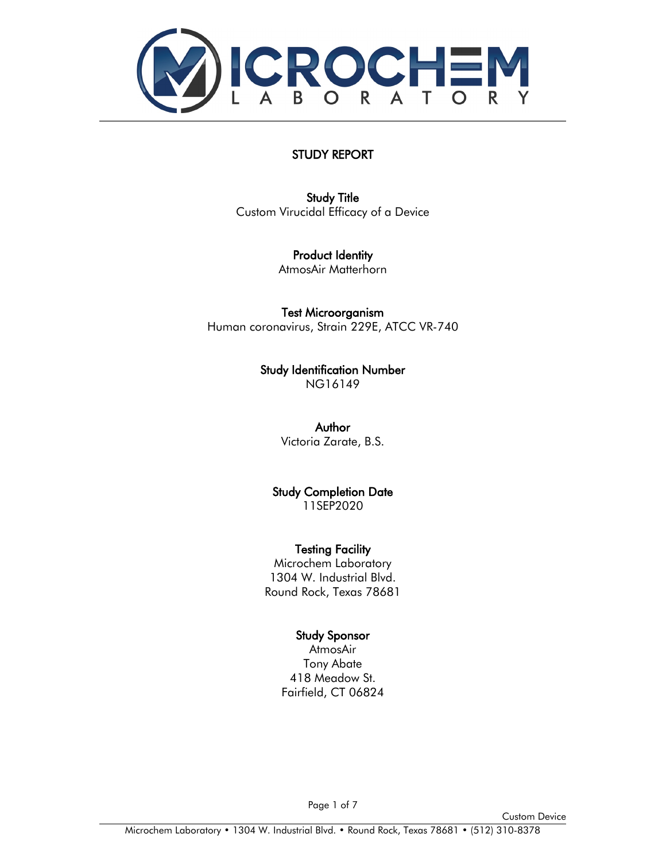

### STUDY REPORT

[Study Title](#page-1-0) Custom Virucidal Efficacy of a Device

> Product Identity AtmosAir Matterhorn

Test Microorganism Human coronavirus, Strain 229E, ATCC VR-740

> Study Identification Number NG16149

> > Author Victoria Zarate, B.S.

Study Completion Date 11SEP2020

Testing Facility Microchem Laboratory

1304 W. Industrial Blvd. Round Rock, Texas 78681

#### Study Sponsor

AtmosAir Tony Abate 418 Meadow St. Fairfield, CT 06824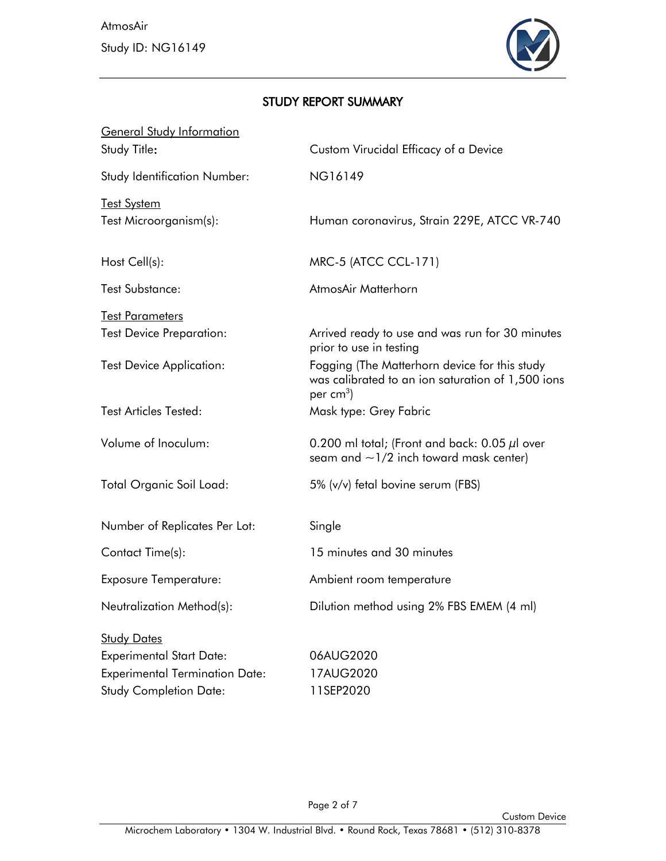

# <span id="page-1-0"></span>STUDY REPORT SUMMARY

| <b>General Study Information</b><br>Study Title: | Custom Virucidal Efficacy of a Device                                                                             |
|--------------------------------------------------|-------------------------------------------------------------------------------------------------------------------|
| <b>Study Identification Number:</b>              | NG16149                                                                                                           |
| <b>Test System</b><br>Test Microorganism(s):     | Human coronavirus, Strain 229E, ATCC VR-740                                                                       |
| Host Cell(s):                                    | MRC-5 (ATCC CCL-171)                                                                                              |
| <b>Test Substance:</b>                           | AtmosAir Matterhorn                                                                                               |
| <b>Test Parameters</b>                           |                                                                                                                   |
| <b>Test Device Preparation:</b>                  | Arrived ready to use and was run for 30 minutes<br>prior to use in testing                                        |
| <b>Test Device Application:</b>                  | Fogging (The Matterhorn device for this study<br>was calibrated to an ion saturation of 1,500 ions<br>per $cm3$ ) |
| <b>Test Articles Tested:</b>                     | Mask type: Grey Fabric                                                                                            |
| Volume of Inoculum:                              | 0.200 ml total; (Front and back: 0.05 $\mu$ l over<br>seam and $\sim$ 1/2 inch toward mask center)                |
| <b>Total Organic Soil Load:</b>                  | 5% (v/v) fetal bovine serum (FBS)                                                                                 |
| Number of Replicates Per Lot:                    | Single                                                                                                            |
| Contact Time(s):                                 | 15 minutes and 30 minutes                                                                                         |
| <b>Exposure Temperature:</b>                     | Ambient room temperature                                                                                          |
| Neutralization Method(s):                        | Dilution method using 2% FBS EMEM (4 ml)                                                                          |
| <b>Study Dates</b>                               |                                                                                                                   |
| <b>Experimental Start Date:</b>                  | 06AUG2020                                                                                                         |
| <b>Experimental Termination Date:</b>            | 17AUG2020                                                                                                         |
| <b>Study Completion Date:</b>                    | 11SEP2020                                                                                                         |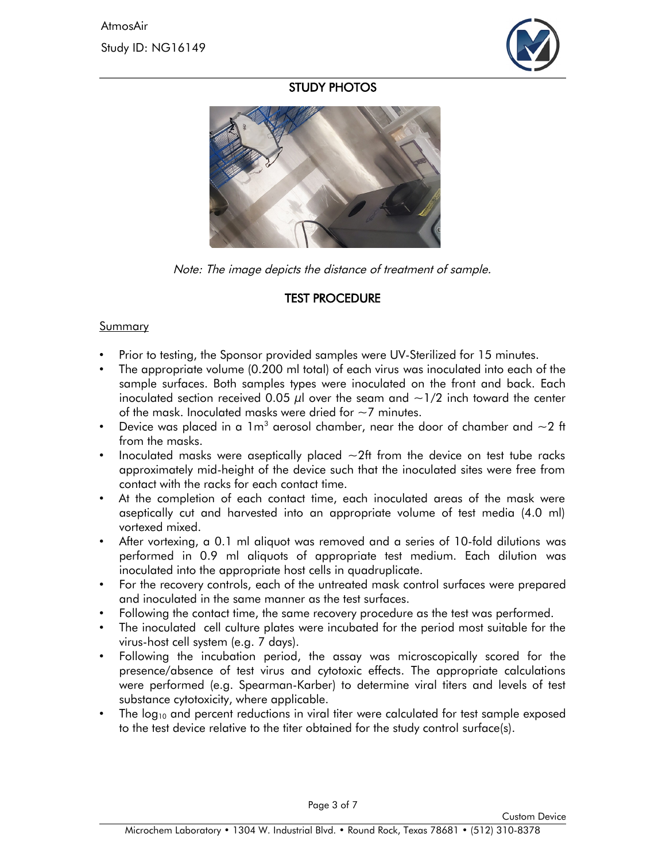

### STUDY PHOTOS



Note: The image depicts the distance of treatment of sample.

## <span id="page-2-0"></span>[TEST PROCEDURE](#page-2-0)

#### Summary

- Prior to testing, the Sponsor provided samples were UV-Sterilized for 15 minutes.
- The appropriate volume (0.200 ml total) of each virus was inoculated into each of the sample surfaces. Both samples types were inoculated on the front and back. Each inoculated section received 0.05  $\mu$ l over the seam and  $\sim$ 1/2 inch toward the center of the mask. Inoculated masks were dried for  $\sim$  7 minutes.
- Device was placed in a 1m $^{\rm 3}$  aerosol chamber, near the door of chamber and  ${\sim}2$  ft from the masks.
- Inoculated masks were aseptically placed  $\sim$ 2ft from the device on test tube racks approximately mid-height of the device such that the inoculated sites were free from contact with the racks for each contact time.
- At the completion of each contact time, each inoculated areas of the mask were aseptically cut and harvested into an appropriate volume of test media (4.0 ml) vortexed mixed.
- After vortexing, a 0.1 ml aliquot was removed and a series of 10-fold dilutions was performed in 0.9 ml aliquots of appropriate test medium. Each dilution was inoculated into the appropriate host cells in quadruplicate.
- For the recovery controls, each of the untreated mask control surfaces were prepared and inoculated in the same manner as the test surfaces.
- Following the contact time, the same recovery procedure as the test was performed.
- The inoculated cell culture plates were incubated for the period most suitable for the virus-host cell system (e.g. 7 days).
- Following the incubation period, the assay was microscopically scored for the presence/absence of test virus and cytotoxic effects. The appropriate calculations were performed (e.g. Spearman-Karber) to determine viral titers and levels of test substance cytotoxicity, where applicable.
- The  $log_{10}$  and percent reductions in viral titer were calculated for test sample exposed to the test device relative to the titer obtained for the study control surface(s).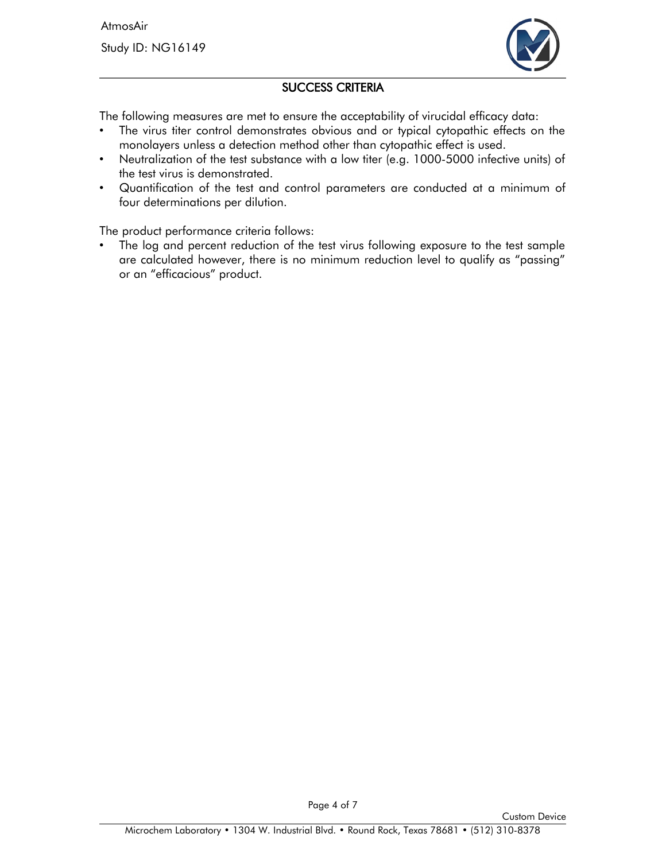AtmosAir Study ID: NG16149



# SUCCESS CRITERIA

The following measures are met to ensure the acceptability of virucidal efficacy data:

- The virus titer control demonstrates obvious and or typical cytopathic effects on the monolayers unless a detection method other than cytopathic effect is used.
- Neutralization of the test substance with a low titer (e.g. 1000-5000 infective units) of the test virus is demonstrated.
- Quantification of the test and control parameters are conducted at a minimum of four determinations per dilution.

The product performance criteria follows:

The log and percent reduction of the test virus following exposure to the test sample are calculated however, there is no minimum reduction level to qualify as "passing" or an "efficacious" product.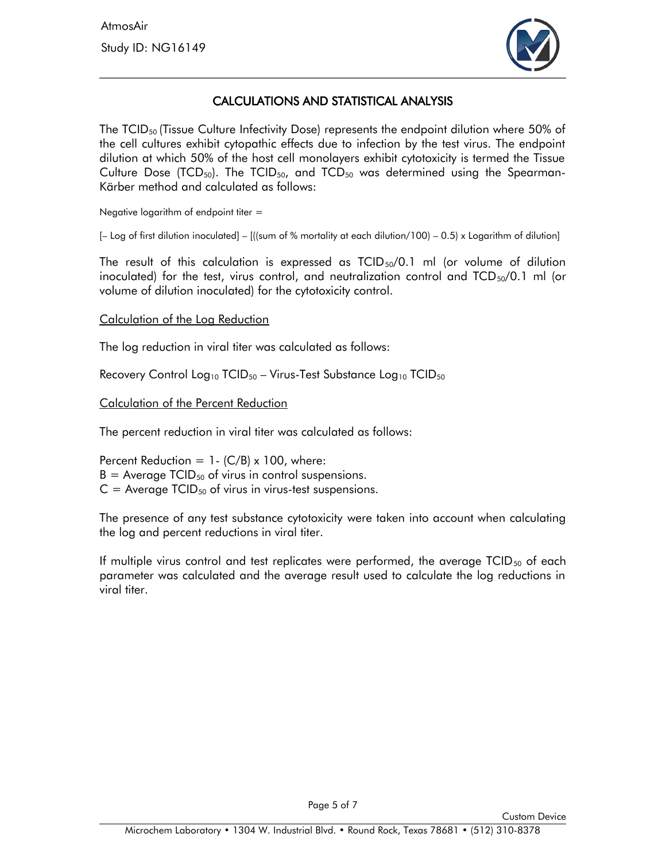

### CALCULATIONS AND STATISTICAL ANALYSIS

The  $TCID<sub>50</sub>$  (Tissue Culture Infectivity Dose) represents the endpoint dilution where 50% of the cell cultures exhibit cytopathic effects due to infection by the test virus. The endpoint dilution at which 50% of the host cell monolayers exhibit cytotoxicity is termed the Tissue Culture Dose (TCD<sub>50</sub>). The TCID<sub>50</sub>, and TCD<sub>50</sub> was determined using the Spearman-Kärber method and calculated as follows:

Negative logarithm of endpoint titer =

 $[-$  Log of first dilution inoculated] –  $[($  (sum of % mortality at each dilution/100) – 0.5) x Logarithm of dilution]

The result of this calculation is expressed as  $TCID_{50}/0.1$  ml (or volume of dilution inoculated) for the test, virus control, and neutralization control and  $TCD_{50}/0.1$  ml (or volume of dilution inoculated) for the cytotoxicity control.

#### Calculation of the Log Reduction

The log reduction in viral titer was calculated as follows:

Recovery Control Log<sub>10</sub> TCID<sub>50</sub> – Virus-Test Substance Log<sub>10</sub> TCID<sub>50</sub>

#### Calculation of the Percent Reduction

The percent reduction in viral titer was calculated as follows:

Percent Reduction =  $1 - (C/B) \times 100$ , where:  $B =$  Average TCID<sub>50</sub> of virus in control suspensions.  $C =$  Average TCID<sub>50</sub> of virus in virus-test suspensions.

The presence of any test substance cytotoxicity were taken into account when calculating the log and percent reductions in viral titer.

If multiple virus control and test replicates were performed, the average  $TCID_{50}$  of each parameter was calculated and the average result used to calculate the log reductions in viral titer.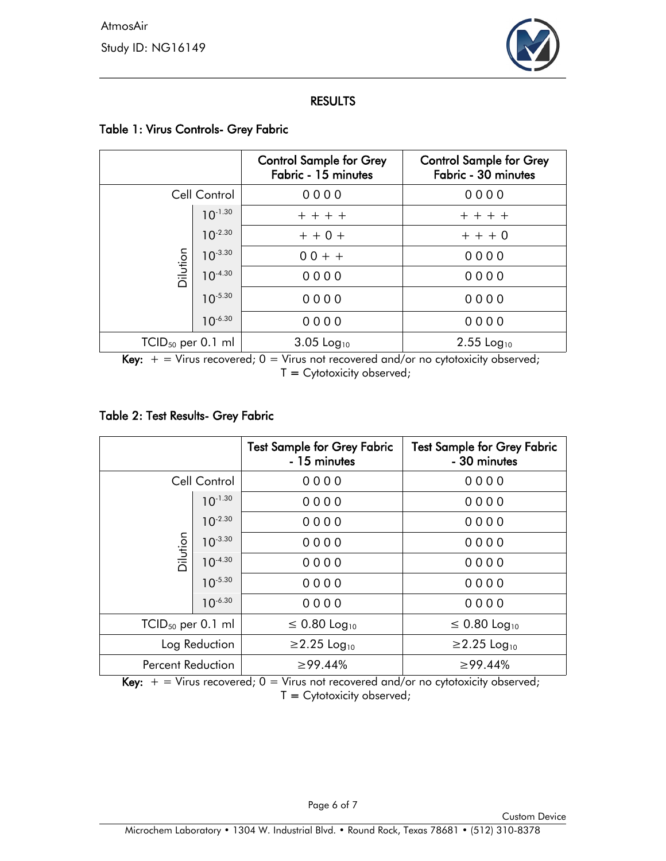

#### RESULTS

|                        |              | <b>Control Sample for Grey</b><br>Fabric - 15 minutes | <b>Control Sample for Grey</b><br>Fabric - 30 minutes |
|------------------------|--------------|-------------------------------------------------------|-------------------------------------------------------|
| Cell Control           |              | 0000                                                  | 0000                                                  |
| Dilution               | $10^{-1.30}$ | $+ + + +$                                             | $+ + + +$                                             |
|                        | $10^{-2.30}$ | $+ + 0 +$                                             | $+ + + 0$                                             |
|                        | $10^{-3.30}$ | $00 + +$                                              | 0000                                                  |
|                        | $10^{-4.30}$ | 0000                                                  | 0000                                                  |
|                        | $10^{-5.30}$ | 0000                                                  | 0000                                                  |
|                        | $10^{-6.30}$ | 0000                                                  | 0000                                                  |
| $TCID_{50}$ per 0.1 ml |              | 3.05 Log <sub>10</sub>                                | $2.55$ Log <sub>10</sub>                              |

### Table 1: Virus Controls- Grey Fabric

Key:  $+$  = Virus recovered;  $0$  = Virus not recovered and/or no cytotoxicity observed;  $T = C$ ytotoxicity observed;

### Table 2: Test Results- Grey Fabric

|                        |              | <b>Test Sample for Grey Fabric</b><br>- 15 minutes | <b>Test Sample for Grey Fabric</b><br>- 30 minutes |
|------------------------|--------------|----------------------------------------------------|----------------------------------------------------|
| Cell Control           |              | 0000                                               | 0000                                               |
| Dilution               | $10^{-1.30}$ | 0000                                               | 0000                                               |
|                        | $10^{-2.30}$ | 0000                                               | 0000                                               |
|                        | $10^{-3.30}$ | 0000                                               | 0000                                               |
|                        | $10^{-4.30}$ | 0000                                               | 0000                                               |
|                        | $10^{-5.30}$ | 0000                                               | 0000                                               |
|                        | $10^{-6.30}$ | 0000                                               | 0000                                               |
| $TCID_{50}$ per 0.1 ml |              | $\leq 0.80 \text{ Log}_{10}$                       | $\leq 0.80$ Log <sub>10</sub>                      |
| Log Reduction          |              | $≥2.25$ Log <sub>10</sub>                          | $≥2.25$ Log <sub>10</sub>                          |
| Percent Reduction      |              | ≥99.44%                                            | ≥99.44%                                            |

Key:  $+$  = Virus recovered;  $0$  = Virus not recovered and/or no cytotoxicity observed;  $T = Cytotoxicity observed;$